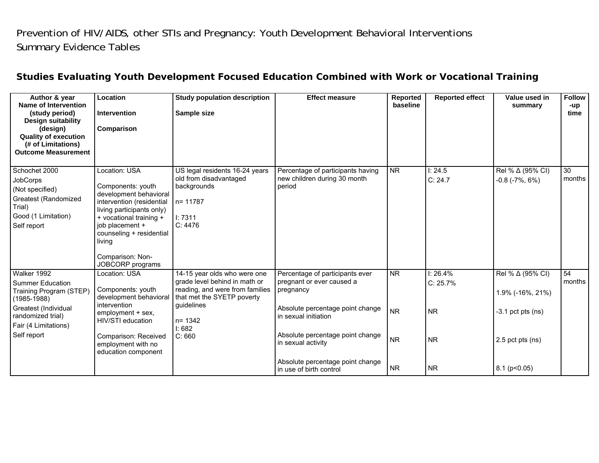## Prevention of HIV/AIDS, other STIs and Pregnancy: Youth Development Behavioral Interventions Summary Evidence Tables

| Author & year<br>Name of Intervention<br>(study period)<br><b>Design suitability</b><br>(design)<br><b>Quality of execution</b><br>(# of Limitations)<br><b>Outcome Measurement</b> | Location<br>Intervention<br>Comparison                                                                                                                                                                                                             | <b>Study population description</b><br>Sample size                                                                                                                  | <b>Effect measure</b>                                                                                                                                                     | <b>Reported</b><br>baseline | <b>Reported effect</b>              | Value used in<br>summary                                    | <b>Follow</b><br>-up<br>time |
|-------------------------------------------------------------------------------------------------------------------------------------------------------------------------------------|----------------------------------------------------------------------------------------------------------------------------------------------------------------------------------------------------------------------------------------------------|---------------------------------------------------------------------------------------------------------------------------------------------------------------------|---------------------------------------------------------------------------------------------------------------------------------------------------------------------------|-----------------------------|-------------------------------------|-------------------------------------------------------------|------------------------------|
| Schochet 2000<br><b>JobCorps</b><br>(Not specified)<br>Greatest (Randomized<br>Trial)<br>Good (1 Limitation)<br>Self report                                                         | Location: USA<br>Components: youth<br>development behavioral<br>intervention (residential<br>living participants only)<br>+ vocational training +<br>job placement +<br>counseling + residential<br>living<br>Comparison: Non-<br>JOBCORP programs | US legal residents 16-24 years<br>old from disadvantaged<br>backgrounds<br>n= 11787<br>1:7311<br>C: 4476                                                            | Percentage of participants having<br>new children during 30 month<br>period                                                                                               | $\overline{\text{NR}}$      | 1:24.5<br>C: 24.7                   | Rel % ∆ (95% CI)<br>$-0.8$ ( $-7\%$ , 6%)                   | 30<br>months                 |
| Walker 1992<br><b>Summer Education</b><br>Training Program (STEP)<br>$(1985 - 1988)$<br>Greatest (Individual<br>randomized trial)<br>Fair (4 Limitations)<br>Self report            | Location: USA<br>Components: youth<br>development behavioral<br>intervention<br>employment + sex,<br>HIV/STI education                                                                                                                             | 14-15 year olds who were one<br>grade level behind in math or<br>reading, and were from families<br>that met the SYETP poverty<br>guidelines<br>$n = 1342$<br>1:682 | Percentage of participants ever<br>pregnant or ever caused a<br>pregnancy<br>Absolute percentage point change<br>in sexual initiation<br>Absolute percentage point change | <b>NR</b><br><b>NR</b>      | 1:26.4%<br>$C: 25.7\%$<br><b>NR</b> | Rel % ∆ (95% CI)<br>1.9% (-16%, 21%)<br>$-3.1$ pct pts (ns) | 54<br>months                 |
|                                                                                                                                                                                     | Comparison: Received<br>employment with no<br>education component                                                                                                                                                                                  | C: 660                                                                                                                                                              | in sexual activity<br>Absolute percentage point change<br>in use of birth control                                                                                         | <b>NR</b><br><b>NR</b>      | <b>NR</b><br><b>NR</b>              | 2.5 pct pts (ns)<br>$8.1$ ( $p<0.05$ )                      |                              |

## **Studies Evaluating Youth Development Focused Education Combined with Work or Vocational Training**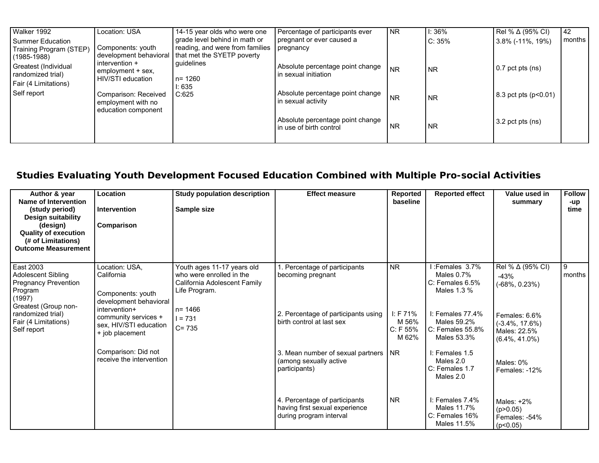| Walker 1992             | Location: USA                            | 14-15 year olds who were one    | Percentage of participants ever  | <b>NR</b> | 1:36%     | Rel % $\Delta$ (95% CI) | 42     |
|-------------------------|------------------------------------------|---------------------------------|----------------------------------|-----------|-----------|-------------------------|--------|
| Summer Education        |                                          | grade level behind in math or   | pregnant or ever caused a        |           | C: 35%    | 3.8% (-11%, 19%)        | months |
| Training Program (STEP) | Components: youth                        | reading, and were from families | pregnancy                        |           |           |                         |        |
| (1985-1988)             | development behavioral<br>intervention + | that met the SYETP poverty      |                                  |           |           |                         |        |
| Greatest (Individual    | employment + sex,                        | guidelines                      | Absolute percentage point change | <b>NR</b> | <b>NR</b> | $0.7$ pct pts (ns)      |        |
| randomized trial)       | HIV/STI education                        | l n= 1260                       | in sexual initiation             |           |           |                         |        |
| Fair (4 Limitations)    |                                          | 1:635                           |                                  |           |           |                         |        |
| Self report             | Comparison: Received                     | C:625                           | Absolute percentage point change | <b>NR</b> | <b>NR</b> | 8.3 pct pts (p<0.01)    |        |
|                         | employment with no                       |                                 | in sexual activity               |           |           |                         |        |
|                         | education component                      |                                 |                                  |           |           |                         |        |
|                         |                                          |                                 | Absolute percentage point change |           |           | $3.2$ pct pts (ns)      |        |
|                         |                                          |                                 | in use of birth control          | <b>NR</b> | <b>NR</b> |                         |        |
|                         |                                          |                                 |                                  |           |           |                         |        |

## **Studies Evaluating Youth Development Focused Education Combined with Multiple Pro-social Activities**

| Author & year<br>Name of Intervention<br>(study period)<br>Design suitability<br>(design)<br><b>Quality of execution</b><br>(# of Limitations)<br><b>Outcome Measurement</b> | Location<br><b>Intervention</b><br>Comparison                                                                                                                                                                        | <b>Study population description</b><br>Sample size                                                                                              | <b>Effect measure</b>                                                                                                                                                                                                                  | Reported<br>baseline                                                                          | <b>Reported effect</b>                                                                                                                                                                                                           | Value used in<br>summary                                                                                                                                                   | <b>Follow</b><br>-up<br>time |
|------------------------------------------------------------------------------------------------------------------------------------------------------------------------------|----------------------------------------------------------------------------------------------------------------------------------------------------------------------------------------------------------------------|-------------------------------------------------------------------------------------------------------------------------------------------------|----------------------------------------------------------------------------------------------------------------------------------------------------------------------------------------------------------------------------------------|-----------------------------------------------------------------------------------------------|----------------------------------------------------------------------------------------------------------------------------------------------------------------------------------------------------------------------------------|----------------------------------------------------------------------------------------------------------------------------------------------------------------------------|------------------------------|
| East 2003<br><b>Adolescent Sibling</b><br>Pregnancy Prevention<br>Program<br>(1997)<br>Greatest (Group non-<br>randomized trial)<br>Fair (4 Limitations)<br>Self report      | Location: USA,<br>California<br>Components: youth<br>development behavioral<br>intervention+<br>community services +<br>sex, HIV/STI education<br>+ job placement<br>Comparison: Did not<br>receive the intervention | Youth ages 11-17 years old<br>who were enrolled in the<br>California Adolescent Family<br>Life Program.<br>$n = 1466$<br>$I = 731$<br>$C = 735$ | . Percentage of participants<br>becoming pregnant<br>2. Percentage of participants using<br>birth control at last sex<br>3. Mean number of sexual partners<br>(among sexually active<br>participants)<br>4. Percentage of participants | $\overline{\text{NR}}$<br>I: F $71\%$<br>M 56%<br>C: F 55%<br>M 62%<br><b>NR</b><br><b>NR</b> | :Females 3.7%<br>Males $0.7\%$<br>$C:$ Females 6.5%<br>Males 1.3 %<br>$I:$ Females $77.4\%$<br>Males 59.2%<br>C: Females 55.8%<br>Males 53.3%<br>I: Females 1.5<br>Males 2.0<br>C: Females 1.7<br>Males 2.0<br>$I:$ Females 7.4% | Rel % ∆ (95% CI)<br>$-43%$<br>$(-68\%, 0.23\%)$<br>Females: 6.6%<br>$(-3.4\%, 17.6\%)$<br>Males: 22.5%<br>$(6.4\%, 41.0\%)$<br>Males: 0%<br>Females: -12%<br>Males: $+2\%$ | 9<br>months                  |
|                                                                                                                                                                              |                                                                                                                                                                                                                      |                                                                                                                                                 | having first sexual experience<br>during program interval                                                                                                                                                                              |                                                                                               | Males 11.7%<br>C: Females 16%<br>Males 11.5%                                                                                                                                                                                     | (p > 0.05)<br>Females: -54%<br>(p<0.05)                                                                                                                                    |                              |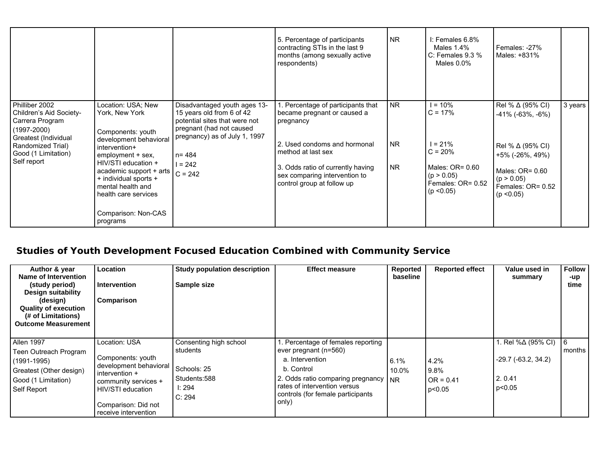|                                                                                                                                                                    |                                                                                                                                                                                                                                                                                      |                                                                                                                                                                                                | 5. Percentage of participants<br>contracting STIs in the last 9<br>months (among sexually active<br>respondents)                                                                                                                      | <b>NR</b>                           | I: Females 6.8%<br>Males 1.4%<br>C: Females $9.3\%$<br>Males $0.0\%$                                                 | Females: -27%<br>Males: +831%                                                                                                                                         |         |
|--------------------------------------------------------------------------------------------------------------------------------------------------------------------|--------------------------------------------------------------------------------------------------------------------------------------------------------------------------------------------------------------------------------------------------------------------------------------|------------------------------------------------------------------------------------------------------------------------------------------------------------------------------------------------|---------------------------------------------------------------------------------------------------------------------------------------------------------------------------------------------------------------------------------------|-------------------------------------|----------------------------------------------------------------------------------------------------------------------|-----------------------------------------------------------------------------------------------------------------------------------------------------------------------|---------|
| Philliber 2002<br>Children's Aid Society-<br>Carrera Program<br>$(1997 - 2000)$<br>Greatest (Individual<br>Randomized Trial)<br>Good (1 Limitation)<br>Self report | Location: USA; New<br>York, New York<br>Components: youth<br>development behavioral<br>intervention+<br>employment + sex,<br>HIV/STI education +<br>academic support + arts<br>+ individual sports +<br>mental health and<br>health care services<br>Comparison: Non-CAS<br>programs | Disadvantaged youth ages 13-<br>15 years old from 6 of 42<br>potential sites that were not<br>pregnant (had not caused<br>pregnancy) as of July 1, 1997<br>$n = 484$<br>$1 = 242$<br>$C = 242$ | Percentage of participants that<br>became pregnant or caused a<br>pregnancy<br>2. Used condoms and hormonal<br>method at last sex<br>3. Odds ratio of currently having<br>sex comparing intervention to<br>control group at follow up | <b>NR</b><br><b>NR</b><br><b>NR</b> | $= 10%$<br>$C = 17%$<br>$= 21\%$<br>$C = 20%$<br>Males: $OR = 0.60$<br>(p > 0.05)<br>Females: OR= 0.52<br>(p < 0.05) | Rel % ∆ (95% CI)<br>$-41\%$ ( $-63\%$ , $-6\%$ )<br>Rel % $\Delta$ (95% CI)<br>+5% (-26%, 49%)<br>Males: $OR = 0.60$<br>(p > 0.05)<br>Females: OR= 0.52<br>(p < 0.05) | 3 years |

## **Studies of Youth Development Focused Education Combined with Community Service**

| Author & year<br>Name of Intervention<br>(study period)<br>Design suitability<br>(design)<br><b>Quality of execution</b><br>(# of Limitations)<br><b>Outcome Measurement</b> | Location<br><b>Intervention</b><br>Comparison                                                                                                                              | Study population description<br>Sample size                                           | <b>Effect measure</b>                                                                                                                                                                                               | Reported<br>baseline | <b>Reported effect</b>                | Value used in<br>summary                                            | <b>Follow</b><br>-up<br>time |
|------------------------------------------------------------------------------------------------------------------------------------------------------------------------------|----------------------------------------------------------------------------------------------------------------------------------------------------------------------------|---------------------------------------------------------------------------------------|---------------------------------------------------------------------------------------------------------------------------------------------------------------------------------------------------------------------|----------------------|---------------------------------------|---------------------------------------------------------------------|------------------------------|
| Allen 1997<br>Teen Outreach Program<br>$(1991 - 1995)$<br>Greatest (Other design)<br>Good (1 Limitation)<br>Self Report                                                      | Location: USA<br>Components: youth<br>development behavioral<br>intervention +<br>community services +<br>HIV/STI education<br>Comparison: Did not<br>receive intervention | Consenting high school<br>students<br>Schools: 25<br>Students:588<br>I: 294<br>C: 294 | . Percentage of females reporting<br>ever pregnant (n=560)<br>a. Intervention<br>b. Control<br>2. Odds ratio comparing pregnancy   NR<br>rates of intervention versus<br>controls (for female participants<br>only) | 6.1%<br>10.0%        | 4.2%<br>9.8%<br>$OR = 0.41$<br>p<0.05 | 1. Rel %∆ (95% CI)<br>$-29.7$ ( $-63.2, 34.2$ )<br>2.0.41<br>p<0.05 | 6<br>months                  |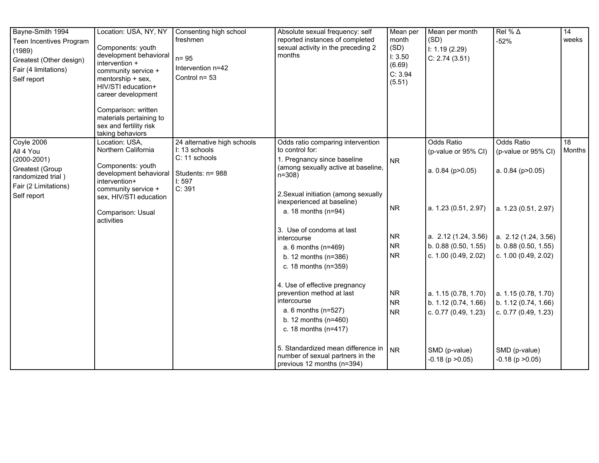| Bayne-Smith 1994<br>Teen Incentives Program<br>(1989)<br>Greatest (Other design)<br>Fair (4 limitations)<br>Self report   | Location: USA, NY, NY<br>Components: youth<br>development behavioral<br>intervention +<br>community service +<br>mentorship + sex,<br>HIV/STI education+<br>career development<br>Comparison: written<br>materials pertaining to<br>sex and fertility risk<br>taking behaviors | Consenting high school<br>freshmen<br>$n = 95$<br>Intervention n=42<br>Control n= 53 | Absolute sexual frequency: self<br>reported instances of completed<br>sexual activity in the preceding 2<br>months                                                                                                                                                                                                                                                                                                                                                                                                                                                                                                      | Mean per<br>month<br>(SD)<br>I: 3.50<br>(6.69)<br>C: 3.94<br>(5.51)                                               | Mean per month<br>(SD)<br>1: 1.19(2.29)<br>C: 2.74(3.51)                                                                                                                                                                                                     | Rel % $\Delta$<br>$-52%$                                                                                                                                                                                                                                                                                | $\overline{14}$<br>weeks |
|---------------------------------------------------------------------------------------------------------------------------|--------------------------------------------------------------------------------------------------------------------------------------------------------------------------------------------------------------------------------------------------------------------------------|--------------------------------------------------------------------------------------|-------------------------------------------------------------------------------------------------------------------------------------------------------------------------------------------------------------------------------------------------------------------------------------------------------------------------------------------------------------------------------------------------------------------------------------------------------------------------------------------------------------------------------------------------------------------------------------------------------------------------|-------------------------------------------------------------------------------------------------------------------|--------------------------------------------------------------------------------------------------------------------------------------------------------------------------------------------------------------------------------------------------------------|---------------------------------------------------------------------------------------------------------------------------------------------------------------------------------------------------------------------------------------------------------------------------------------------------------|--------------------------|
| Coyle 2006<br>All 4 You<br>$(2000 - 2001)$<br>Greatest (Group<br>randomized trial)<br>Fair (2 Limitations)<br>Self report | Location: USA,<br>Northern California<br>Components: youth<br>development behavioral Students: n= 988<br>intervention+<br>community service +<br>sex, HIV/STI education<br>Comparison: Usual<br>activities                                                                     | 24 alternative high schools<br>I: 13 schools<br>C: 11 schools<br>1:597<br>C: 391     | Odds ratio comparing intervention<br>to control for:<br>1. Pregnancy since baseline<br>(among sexually active at baseline,<br>$n = 308$<br>2. Sexual initiation (among sexually<br>inexperienced at baseline)<br>a. 18 months (n=94)<br>3. Use of condoms at last<br>intercourse<br>a. 6 months (n=469)<br>b. 12 months $(n=386)$<br>c. 18 months (n=359)<br>4. Use of effective pregnancy<br>prevention method at last<br>intercourse<br>a. 6 months (n=527)<br>b. 12 months $(n=460)$<br>c. 18 months (n=417)<br>5. Standardized mean difference in<br>number of sexual partners in the<br>previous 12 months (n=394) | <b>NR</b><br><b>NR</b><br><b>NR</b><br><b>NR</b><br><b>NR</b><br><b>NR</b><br><b>NR</b><br><b>NR</b><br><b>NR</b> | <b>Odds Ratio</b><br>(p-value or 95% CI)<br>a. $0.84$ ( $p > 0.05$ )<br>a. 1.23 (0.51, 2.97)<br>b. 0.88(0.50, 1.55)<br>c. 1.00 (0.49, 2.02)<br>a. 1.15 (0.78, 1.70)<br>b. 1.12 (0.74, 1.66)<br>c. 0.77 (0.49, 1.23)<br>SMD (p-value)<br>$-0.18$ (p $>0.05$ ) | Odds Ratio<br>(p-value or 95% CI)<br>a. $0.84$ ( $p > 0.05$ )<br>a. 1.23 (0.51, 2.97)<br>a. $2.12$ (1.24, 3.56) a. $2.12$ (1.24, 3.56)<br>b. 0.88 (0.50, 1.55)<br>c. 1.00 (0.49, 2.02)<br>a. 1.15 (0.78, 1.70)<br>b. 1.12 (0.74, 1.66)<br>c. 0.77 (0.49, 1.23)<br>SMD (p-value)<br>$-0.18$ (p $>0.05$ ) | 18<br>Months             |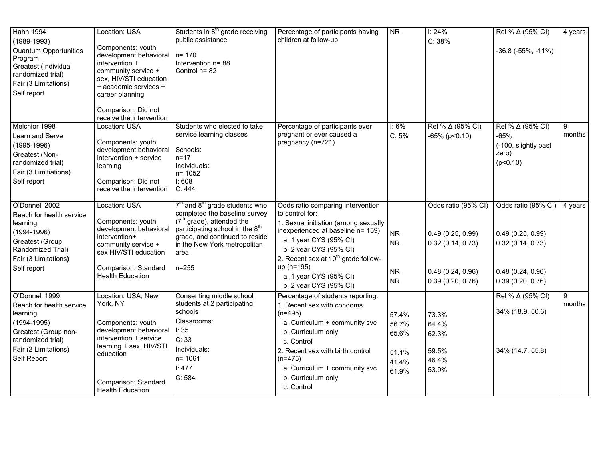| <b>Hahn 1994</b><br>$(1989 - 1993)$<br><b>Quantum Opportunities</b><br>Program<br>Greatest (Individual<br>randomized trial)<br>Fair (3 Limitations)<br>Self report | Location: USA<br>Components: youth<br>development behavioral $n = 170$<br>intervention +<br>community service +<br>sex, HIV/STI education<br>+ academic services +<br>career planning<br>Comparison: Did not | Students in 8 <sup>th</sup> grade receiving<br>public assistance<br>Intervention n= 88<br>Control n= 82                                                                                                                                           | Percentage of participants having<br>children at follow-up                                                                                                                                                                                                                                                 | NR                                                 | 1:24%<br>C: 38%                                                                                     | Rel % ∆ (95% CI)<br>$-36.8$ ( $-55\%$ , $-11\%$ )                                                   | 4 years                    |
|--------------------------------------------------------------------------------------------------------------------------------------------------------------------|--------------------------------------------------------------------------------------------------------------------------------------------------------------------------------------------------------------|---------------------------------------------------------------------------------------------------------------------------------------------------------------------------------------------------------------------------------------------------|------------------------------------------------------------------------------------------------------------------------------------------------------------------------------------------------------------------------------------------------------------------------------------------------------------|----------------------------------------------------|-----------------------------------------------------------------------------------------------------|-----------------------------------------------------------------------------------------------------|----------------------------|
| Melchior 1998<br>Learn and Serve<br>$(1995 - 1996)$<br>Greatest (Non-<br>randomized trial)<br>Fair (3 Limitiations)<br>Self report                                 | receive the intervention<br>Location: USA<br>Components: youth<br>development behavioral<br>intervention + service<br>learning<br>Comparison: Did not<br>receive the intervention                            | Students who elected to take<br>service learning classes<br>Schools:<br>$n = 17$<br>Individuals:<br>$n = 1052$<br>1:608<br>C: 444                                                                                                                 | Percentage of participants ever<br>pregnant or ever caused a<br>pregnancy (n=721)                                                                                                                                                                                                                          | $I: 6\%$<br>C: 5%                                  | Rel % ∆ (95% CI)<br>$-65\%$ (p<0.10)                                                                | Rel % ∆ (95% CI)<br>$-65%$<br>(-100, slightly past<br>zero)<br>(p<0.10)                             | 9<br>months                |
| O'Donnell 2002<br>Reach for health service<br>learning<br>$(1994 - 1996)$<br>Greatest (Group<br>Randomized Trial)<br>Fair (3 Limitations)<br>Self report           | Location: USA<br>Components: youth<br>development behavioral<br>intervention+<br>community service +<br>sex HIV/STI education<br>Comparison: Standard<br><b>Health Education</b>                             | $7th$ and $8th$ grade students who<br>completed the baseline survey<br>$(7th \text{ grade})$ , attended the<br>participating school in the 8 <sup>th</sup><br>grade, and continued to reside<br>in the New York metropolitan<br>area<br>$n = 255$ | Odds ratio comparing intervention<br>to control for:<br>1. Sexual initiation (among sexually<br>inexperienced at baseline n= 159)<br>a. 1 year CYS (95% CI)<br>b. 2 year CYS (95% CI)<br>2. Recent sex at 10 <sup>th</sup> grade follow-<br>up (n=195)<br>a. 1 year CYS (95% CI)<br>b. 2 year CYS (95% CI) | <b>NR</b><br><b>NR</b><br><b>NR</b><br>${\sf NR}$  | Odds ratio (95% CI)<br>0.49(0.25, 0.99)<br>0.32(0.14, 0.73)<br>0.48(0.24, 0.96)<br>0.39(0.20, 0.76) | Odds ratio (95% CI)<br>0.49(0.25, 0.99)<br>0.32(0.14, 0.73)<br>0.48(0.24, 0.96)<br>0.39(0.20, 0.76) | 4 years                    |
| O'Donnell 1999<br>Reach for health service<br>learning<br>$(1994 - 1995)$<br>Greatest (Group non-<br>randomized trial)<br>Fair (2 Limitations)<br>Self Report      | Location: USA; New<br>York, NY<br>Components: youth<br>development behavioral<br>intervention + service<br>learning + sex, HIV/STI<br>education<br>Comparison: Standard<br><b>Health Education</b>           | Consenting middle school<br>students at 2 participating<br>schools<br>Classrooms:<br>l: 35<br>C: 33<br>Individuals:<br>$n = 1061$<br>I: 477<br>C: 584                                                                                             | Percentage of students reporting:<br>1. Recent sex with condoms<br>$(n=495)$<br>a. Curriculum + community svc<br>b. Curriculum only<br>c. Control<br>2. Recent sex with birth control<br>$(n=475)$<br>a. Curriculum + community svc<br>b. Curriculum only<br>c. Control                                    | 57.4%<br>56.7%<br>65.6%<br>51.1%<br>41.4%<br>61.9% | 73.3%<br>64.4%<br>62.3%<br>59.5%<br>46.4%<br>53.9%                                                  | Rel % ∆ (95% CI)<br>34% (18.9, 50.6)<br>34% (14.7, 55.8)                                            | $\boldsymbol{9}$<br>months |